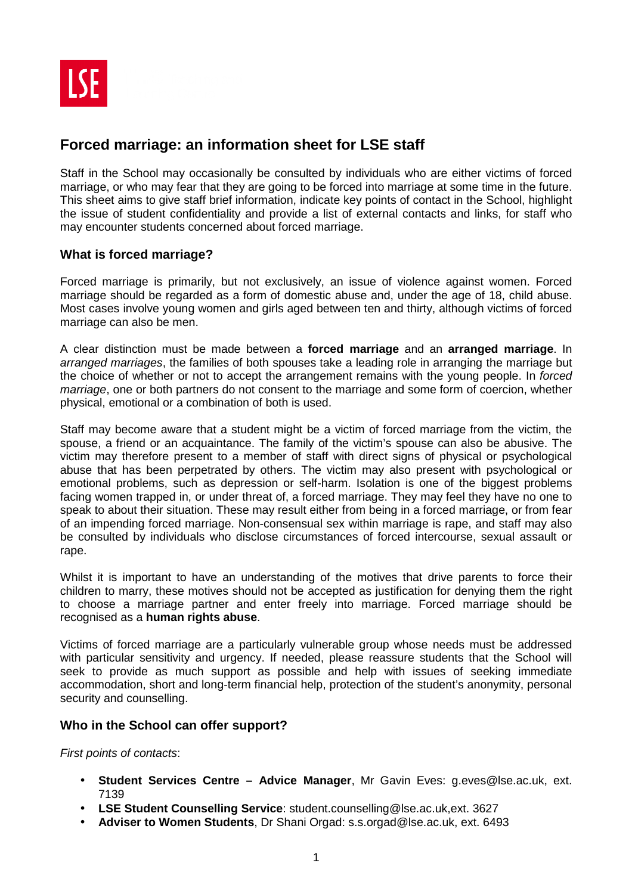

# **Forced marriage: an information sheet for LSE staff**

Staff in the School may occasionally be consulted by individuals who are either victims of forced marriage, or who may fear that they are going to be forced into marriage at some time in the future. This sheet aims to give staff brief information, indicate key points of contact in the School, highlight the issue of student confidentiality and provide a list of external contacts and links, for staff who may encounter students concerned about forced marriage.

## **What is forced marriage?**

Forced marriage is primarily, but not exclusively, an issue of violence against women. Forced marriage should be regarded as a form of domestic abuse and, under the age of 18, child abuse. Most cases involve young women and girls aged between ten and thirty, although victims of forced marriage can also be men.

A clear distinction must be made between a **forced marriage** and an **arranged marriage**. In arranged marriages, the families of both spouses take a leading role in arranging the marriage but the choice of whether or not to accept the arrangement remains with the young people. In forced marriage, one or both partners do not consent to the marriage and some form of coercion, whether physical, emotional or a combination of both is used.

Staff may become aware that a student might be a victim of forced marriage from the victim, the spouse, a friend or an acquaintance. The family of the victim's spouse can also be abusive. The victim may therefore present to a member of staff with direct signs of physical or psychological abuse that has been perpetrated by others. The victim may also present with psychological or emotional problems, such as depression or self-harm. Isolation is one of the biggest problems facing women trapped in, or under threat of, a forced marriage. They may feel they have no one to speak to about their situation. These may result either from being in a forced marriage, or from fear of an impending forced marriage. Non-consensual sex within marriage is rape, and staff may also be consulted by individuals who disclose circumstances of forced intercourse, sexual assault or rape.

Whilst it is important to have an understanding of the motives that drive parents to force their children to marry, these motives should not be accepted as justification for denying them the right to choose a marriage partner and enter freely into marriage. Forced marriage should be recognised as a **human rights abuse**.

Victims of forced marriage are a particularly vulnerable group whose needs must be addressed with particular sensitivity and urgency. If needed, please reassure students that the School will seek to provide as much support as possible and help with issues of seeking immediate accommodation, short and long-term financial help, protection of the student's anonymity, personal security and counselling.

## **Who in the School can offer support?**

First points of contacts:

- **Student Services Centre Advice Manager**, Mr Gavin Eves: g.eves@lse.ac.uk, ext. 7139
- **LSE Student Counselling Service**: student.counselling@lse.ac.uk,ext. 3627
- **Adviser to Women Students**, Dr Shani Orgad: s.s.orgad@lse.ac.uk, ext. 6493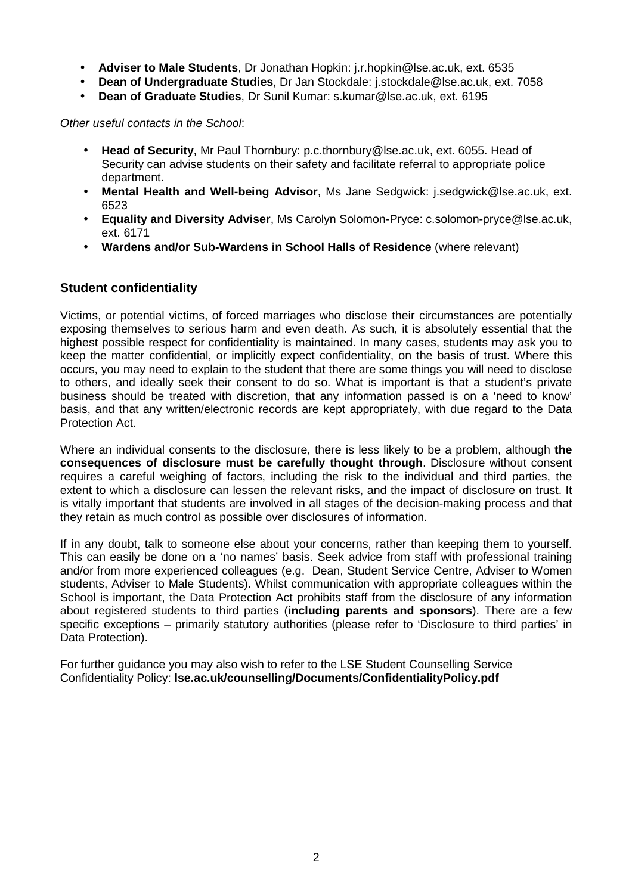- **Adviser to Male Students**, Dr Jonathan Hopkin: j.r.hopkin@lse.ac.uk, ext. 6535
- **Dean of Undergraduate Studies**, Dr Jan Stockdale: j.stockdale@lse.ac.uk, ext. 7058
- **Dean of Graduate Studies**, Dr Sunil Kumar: s.kumar@lse.ac.uk, ext. 6195

Other useful contacts in the School:

- **Head of Security**, Mr Paul Thornbury: p.c.thornbury@lse.ac.uk, ext. 6055. Head of Security can advise students on their safety and facilitate referral to appropriate police department.
- **Mental Health and Well-being Advisor**, Ms Jane Sedgwick: j.sedgwick@lse.ac.uk, ext. 6523
- **Equality and Diversity Adviser**, Ms Carolyn Solomon-Pryce: c.solomon-pryce@lse.ac.uk, ext. 6171
- **Wardens and/or Sub-Wardens in School Halls of Residence** (where relevant)

## **Student confidentiality**

Victims, or potential victims, of forced marriages who disclose their circumstances are potentially exposing themselves to serious harm and even death. As such, it is absolutely essential that the highest possible respect for confidentiality is maintained. In many cases, students may ask you to keep the matter confidential, or implicitly expect confidentiality, on the basis of trust. Where this occurs, you may need to explain to the student that there are some things you will need to disclose to others, and ideally seek their consent to do so. What is important is that a student's private business should be treated with discretion, that any information passed is on a 'need to know' basis, and that any written/electronic records are kept appropriately, with due regard to the Data Protection Act.

Where an individual consents to the disclosure, there is less likely to be a problem, although **the consequences of disclosure must be carefully thought through**. Disclosure without consent requires a careful weighing of factors, including the risk to the individual and third parties, the extent to which a disclosure can lessen the relevant risks, and the impact of disclosure on trust. It is vitally important that students are involved in all stages of the decision-making process and that they retain as much control as possible over disclosures of information.

If in any doubt, talk to someone else about your concerns, rather than keeping them to yourself. This can easily be done on a 'no names' basis. Seek advice from staff with professional training and/or from more experienced colleagues (e.g. Dean, Student Service Centre, Adviser to Women students, Adviser to Male Students). Whilst communication with appropriate colleagues within the School is important, the Data Protection Act prohibits staff from the disclosure of any information about registered students to third parties (**including parents and sponsors**). There are a few specific exceptions – primarily statutory authorities (please refer to 'Disclosure to third parties' in Data Protection).

For further guidance you may also wish to refer to the LSE Student Counselling Service Confidentiality Policy: **lse.ac.uk/counselling/Documents/ConfidentialityPolicy.pdf**